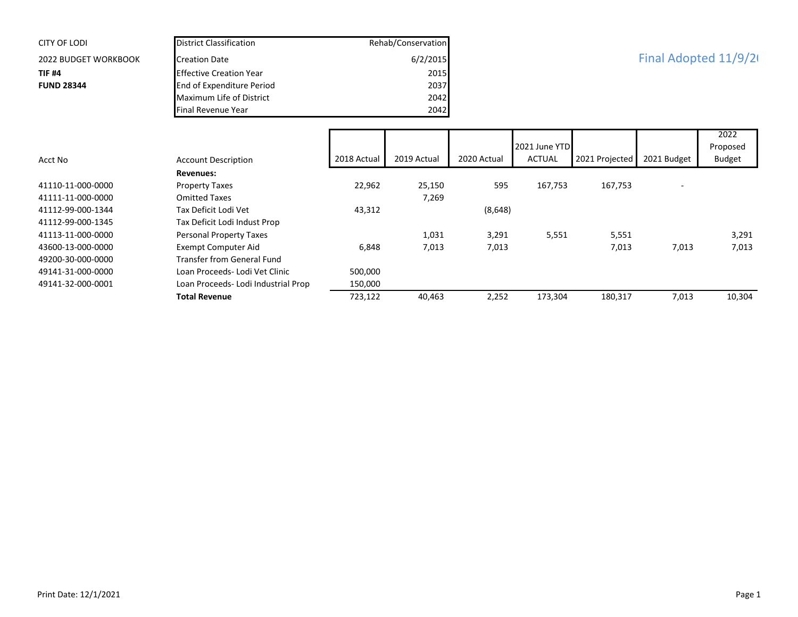| <b>CITY OF LODI</b>         | <b>District Classification</b>      |             | Rehab/Conservation |                       |               |                |             |               |
|-----------------------------|-------------------------------------|-------------|--------------------|-----------------------|---------------|----------------|-------------|---------------|
| <b>2022 BUDGET WORKBOOK</b> | <b>Creation Date</b>                |             | 6/2/2015           | Final Adopted 11/9/20 |               |                |             |               |
| <b>TIF #4</b>               | <b>Effective Creation Year</b>      |             | 2015               |                       |               |                |             |               |
| <b>FUND 28344</b>           | End of Expenditure Period           |             | 2037               |                       |               |                |             |               |
|                             | Maximum Life of District            |             | 2042               |                       |               |                |             |               |
|                             | Final Revenue Year                  |             | 2042               |                       |               |                |             |               |
|                             |                                     |             |                    |                       |               |                |             | 2022          |
|                             |                                     |             |                    |                       | 2021 June YTD |                |             | Proposed      |
| Acct No                     | <b>Account Description</b>          | 2018 Actual | 2019 Actual        | 2020 Actual           | <b>ACTUAL</b> | 2021 Projected | 2021 Budget | <b>Budget</b> |
|                             | <b>Revenues:</b>                    |             |                    |                       |               |                |             |               |
| 41110-11-000-0000           | <b>Property Taxes</b>               | 22,962      | 25,150             | 595                   | 167,753       | 167,753        |             |               |
| 41111-11-000-0000           | <b>Omitted Taxes</b>                |             | 7,269              |                       |               |                |             |               |
| 41112-99-000-1344           | Tax Deficit Lodi Vet                | 43,312      |                    | (8,648)               |               |                |             |               |
| 41112-99-000-1345           | Tax Deficit Lodi Indust Prop        |             |                    |                       |               |                |             |               |
| 41113-11-000-0000           | Personal Property Taxes             |             | 1,031              | 3,291                 | 5,551         | 5,551          |             | 3,291         |
| 43600-13-000-0000           | <b>Exempt Computer Aid</b>          | 6,848       | 7,013              | 7,013                 |               | 7,013          | 7,013       | 7,013         |
| 49200-30-000-0000           | <b>Transfer from General Fund</b>   |             |                    |                       |               |                |             |               |
| 49141-31-000-0000           | Loan Proceeds- Lodi Vet Clinic      | 500,000     |                    |                       |               |                |             |               |
| 49141-32-000-0001           | Loan Proceeds- Lodi Industrial Prop | 150,000     |                    |                       |               |                |             |               |
|                             | <b>Total Revenue</b>                | 723,122     | 40,463             | 2,252                 | 173,304       | 180,317        | 7,013       | 10,304        |